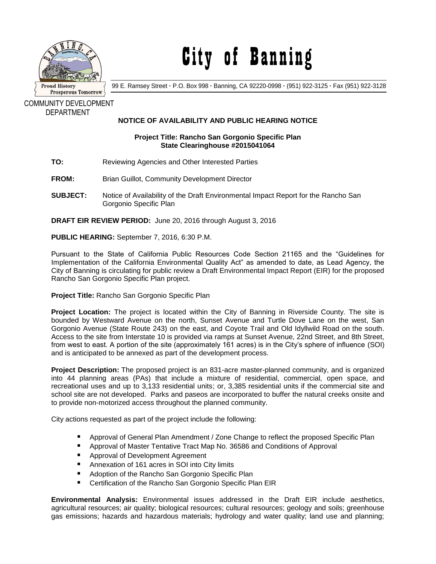

## City of Banning

99 E. Ramsey Street **·** P.O. Box 998 **·** Banning, CA 92220-0998 **·** (951) 922-3125 **·** Fax (951) 922-3128

COMMUNITY DEVELOPMENT DEPARTMENT

## **NOTICE OF AVAILABILITY AND PUBLIC HEARING NOTICE**

## **Project Title: Rancho San Gorgonio Specific Plan State Clearinghouse #2015041064**

- **TO:** Reviewing Agencies and Other Interested Parties
- **FROM:** Brian Guillot, Community Development Director
- **SUBJECT:** Notice of Availability of the Draft Environmental Impact Report for the Rancho San Gorgonio Specific Plan

**DRAFT EIR REVIEW PERIOD:** June 20, 2016 through August 3, 2016

**PUBLIC HEARING:** September 7, 2016, 6:30 P.M.

Pursuant to the State of California Public Resources Code Section 21165 and the "Guidelines for Implementation of the California Environmental Quality Act" as amended to date, as Lead Agency, the City of Banning is circulating for public review a Draft Environmental Impact Report (EIR) for the proposed Rancho San Gorgonio Specific Plan project.

**Project Title:** Rancho San Gorgonio Specific Plan

**Project Location:** The project is located within the City of Banning in Riverside County. The site is bounded by Westward Avenue on the north, Sunset Avenue and Turtle Dove Lane on the west, San Gorgonio Avenue (State Route 243) on the east, and Coyote Trail and Old Idyllwild Road on the south. Access to the site from Interstate 10 is provided via ramps at Sunset Avenue, 22nd Street, and 8th Street, from west to east. A portion of the site (approximately 161 acres) is in the City's sphere of influence (SOI) and is anticipated to be annexed as part of the development process.

**Project Description:** The proposed project is an 831-acre master-planned community, and is organized into 44 planning areas (PAs) that include a mixture of residential, commercial, open space, and recreational uses and up to 3,133 residential units; or, 3,385 residential units if the commercial site and school site are not developed. Parks and paseos are incorporated to buffer the natural creeks onsite and to provide non-motorized access throughout the planned community.

City actions requested as part of the project include the following:

- **Approval of General Plan Amendment / Zone Change to reflect the proposed Specific Plan**
- Approval of Master Tentative Tract Map No. 36586 and Conditions of Approval
- **Approval of Development Agreement**
- Annexation of 161 acres in SOI into City limits
- Adoption of the Rancho San Gorgonio Specific Plan
- Certification of the Rancho San Gorgonio Specific Plan EIR

**Environmental Analysis:** Environmental issues addressed in the Draft EIR include aesthetics, agricultural resources; air quality; biological resources; cultural resources; geology and soils; greenhouse gas emissions; hazards and hazardous materials; hydrology and water quality; land use and planning;